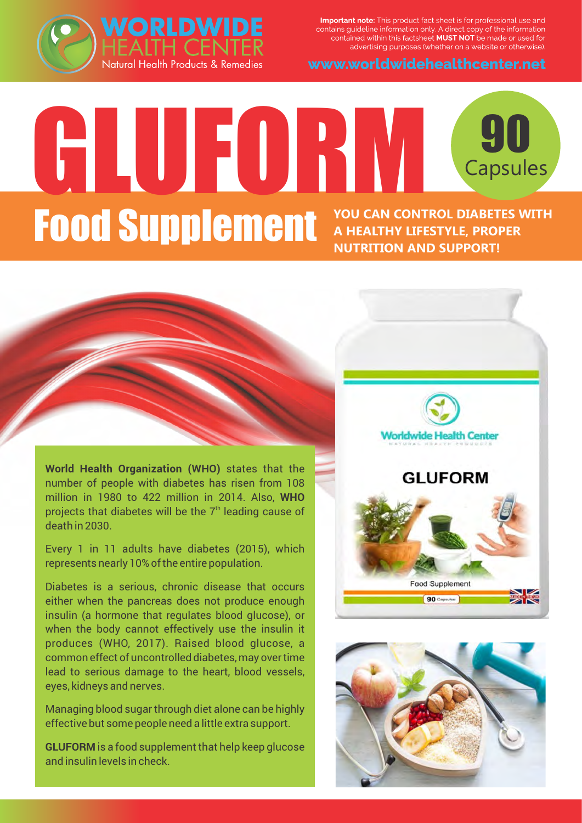Important note: This product fact sheet is for professional use and contains guideline information only. A direct copy of the information<br>contained within this factsheet **MUST NOT** be made or used for advertising purposes (whether on a website or otherwise).





# GLUFORM <sup>90</sup> **90**<br>Capsules **Food Supplement YOU CAN CONTROL DIABETES WITH A HEALTHY LIFESTYLE, PROPER NUTRITION AND SUPPORT!**

**World Health Organization (WHO)** states that the number of people with diabetes has risen from 108 million in 1980 to 422 million in 2014. Also, **WHO** projects that diabetes will be the  $7<sup>th</sup>$  leading cause of death in 2030.

--

Every 1 in 11 adults have diabetes (2015), which represents nearly 10% of the entire population.

Diabetes is a serious, chronic disease that occurs either when the pancreas does not produce enough insulin (a hormone that regulates blood glucose), or when the body cannot effectively use the insulin it produces (WHO, 2017). Raised blood glucose, a common effect of uncontrolled diabetes, may over time lead to serious damage to the heart, blood vessels, eyes, kidneys and nerves.

Managing blood sugar through diet alone can be highly effective but some people need a little extra support.

**GLUFORM** is a food supplement that help keep glucose and insulin levels in check.



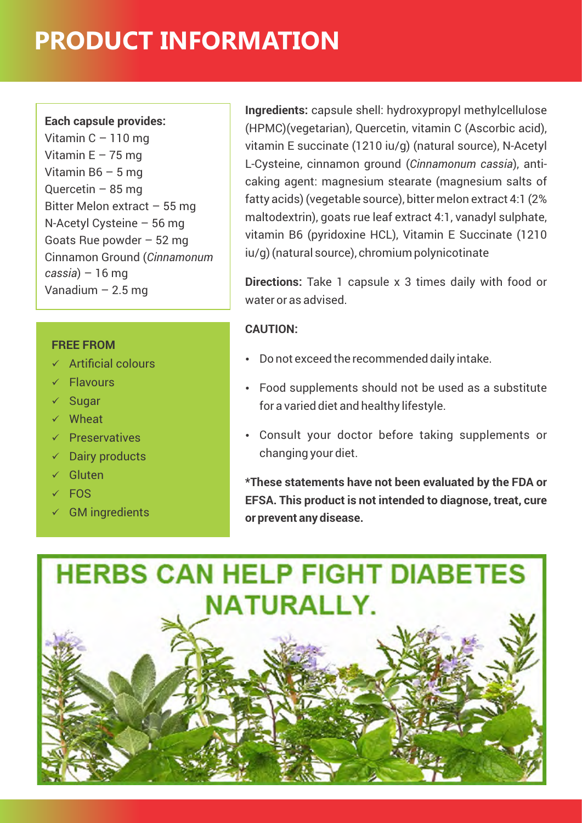# **PRODUCT INFORMATION**

#### **Each capsule provides:**

Vitamin  $C - 110$  mg Vitamin  $E - 75$  mg Vitamin B6 – 5 mg Quercetin – 85 mg Bitter Melon extract – 55 mg N-Acetyl Cysteine – 56 mg Goats Rue powder – 52 mg Cinnamon Ground (*Cinnamonum cassia*) – 16 mg Vanadium  $-2.5$  mg

#### **FREE FROM**

- $\times$  Artificial colours
- $\checkmark$  Flavours
- $\checkmark$  Sugar
- $\checkmark$  Wheat
- $\sqrt{P}$  Preservatives
- $\checkmark$  Dairy products
- $\checkmark$  Gluten
- $\times$  FOS
- $\checkmark$  GM ingredients

**Ingredients:** capsule shell: hydroxypropyl methylcellulose (HPMC)(vegetarian), Quercetin, vitamin C (Ascorbic acid), vitamin E succinate (1210 iu/g) (natural source), N-Acetyl L-Cysteine, cinnamon ground (*Cinnamonum cassia*), anticaking agent: magnesium stearate (magnesium salts of fatty acids) (vegetable source), bitter melon extract 4:1 (2% maltodextrin), goats rue leaf extract 4:1, vanadyl sulphate, vitamin B6 (pyridoxine HCL), Vitamin E Succinate (1210 iu/g) (natural source), chromium polynicotinate

**Directions:** Take 1 capsule x 3 times daily with food or water or as advised.

### **CAUTION:**

- Do not exceed the recommended daily intake.
- Food supplements should not be used as a substitute for a varied diet and healthy lifestyle.
- Consult your doctor before taking supplements or changing your diet.

**\*These statements have not been evaluated by the FDA or EFSA. This product is not intended to diagnose, treat, cure or prevent any disease.**

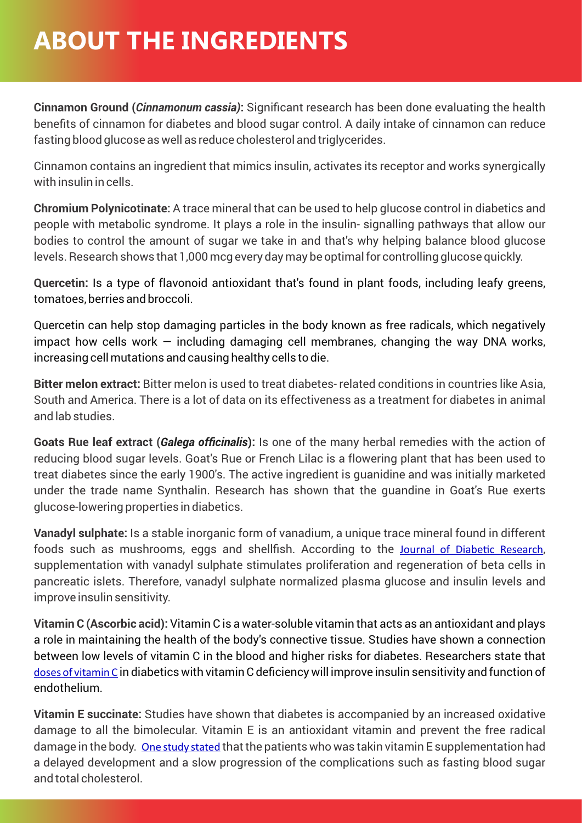### **ABOUT THE INGREDIENTS**

**Cinnamon Ground (***Cinnamonum cassia)***:** Significant research has been done evaluating the health benefits of cinnamon for diabetes and blood sugar control. A daily intake of cinnamon can reduce fasting blood glucose as well as reduce cholesterol and triglycerides.

Cinnamon contains an ingredient that mimics insulin, activates its receptor and works synergically with insulin in cells.

**Chromium Polynicotinate:** A trace mineral that can be used to help glucose control in diabetics and people with metabolic syndrome. It plays a role in the insulin- signalling pathways that allow our bodies to control the amount of sugar we take in and that's why helping balance blood glucose levels. Research shows that 1,000 mcg every day may be optimal for controlling glucose quickly.

**Quercetin:** Is a type of flavonoid antioxidant that's found in plant foods, including leafy greens, tomatoes, berries and broccoli.

Quercetin can help stop damaging particles in the body known as free radicals, which negatively impact how cells work  $-$  including damaging cell membranes, changing the way DNA works, increasing cell mutations and causing healthy cells to die.

**Bitter melon extract:** Bitter melon is used to treat diabetes- related conditions in countries like Asia, South and America. There is a lot of data on its effectiveness as a treatment for diabetes in animal and lab studies.

**Goats Rue leaf extract (***Galega officinalis***):** Is one of the many herbal remedies with the action of reducing blood sugar levels. Goat's Rue or French Lilac is a flowering plant that has been used to treat diabetes since the early 1900's. The active ingredient is guanidine and was initially marketed under the trade name Synthalin. Research has shown that the guandine in Goat's Rue exerts glucose-lowering properties in diabetics.

**Vanadyl sulphate:** Is a stable inorganic form of vanadium, a unique trace mineral found in different foods such as mushrooms, eggs and shellfish. According to the Journal of Diabetic Research, supplementation with vanadyl sulphate stimulates proliferation and regeneration of beta cells in pancreatic islets. Therefore, vanadyl sulphate normalized plasma glucose and insulin levels and improve insulin sensitivity.

**Vitamin C (Ascorbic acid):** Vitamin C is a water-soluble vitamin that acts as an antioxidant and plays a role in maintaining the health of the body's connective tissue. Studies have shown a connection between low levels of vitamin C in the blood and higher risks for diabetes. Researchers state that [doses of vitamin C](https://clinicaltrials.gov/ct2/show/NCT00001870) in diabetics with vitamin C deficiency will improve insulin sensitivity and function of endothelium.

**Vitamin E succinate:** Studies have shown that diabetes is accompanied by an increased oxidative damage to all the bimolecular. Vitamin E is an antioxidant vitamin and prevent the free radical damage in the body. [One study stated](https://www.ncbi.nlm.nih.gov/pmc/articles/PMC3552190/) that the patients who was takin vitamin E supplementation had a delayed development and a slow progression of the complications such as fasting blood sugar and total cholesterol.